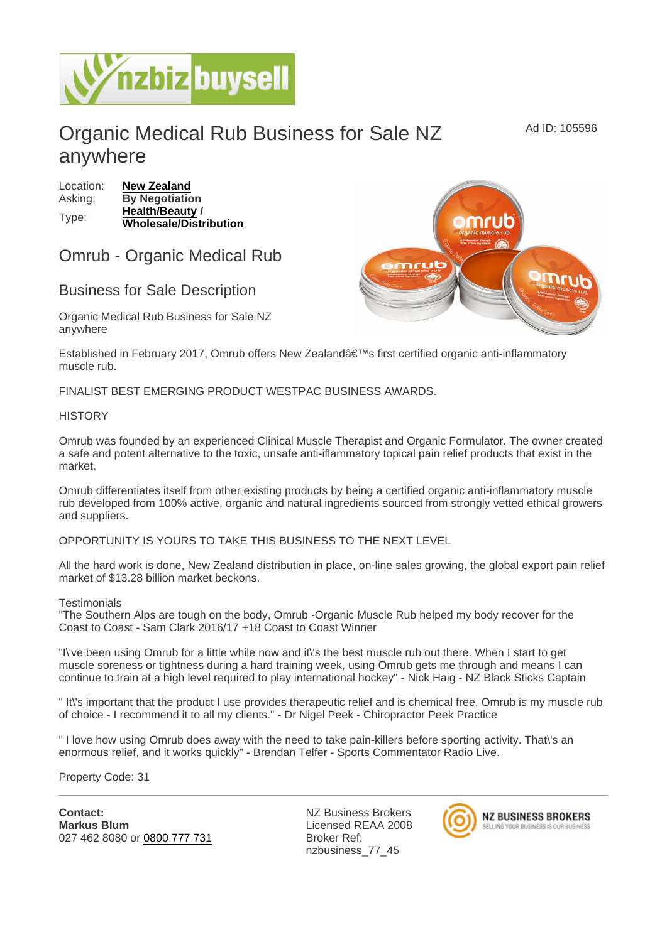# Organic Medical Rub Business for Sale NZ anywhere

Location: [New Zealand](https://www.nzbizbuysell.co.nz/businesses-for-sale/location/New-Zealand) Asking: By Negotiation Type: [Health/Beauty](https://www.nzbizbuysell.co.nz/businesses-for-sale/Health--Beauty/New-Zealand) / Wholesale/Distribution

## Omrub - Organic Medical Rub

## Business for Sale Description

Organic Medical Rub Business for Sale NZ anywhere

Established in February 2017, Omrub offers New Zealand's first certified organic anti-inflammatory muscle rub.

FINALIST BEST EMERGING PRODUCT WESTPAC BUSINESS AWARDS.

### **HISTORY**

Omrub was founded by an experienced Clinical Muscle Therapist and Organic Formulator. The owner created a safe and potent alternative to the toxic, unsafe anti-iflammatory topical pain relief products that exist in the market.

Omrub differentiates itself from other existing products by being a certified organic anti-inflammatory muscle rub developed from 100% active, organic and natural ingredients sourced from strongly vetted ethical growers and suppliers.

OPPORTUNITY IS YOURS TO TAKE THIS BUSINESS TO THE NEXT LEVEL

All the hard work is done, New Zealand distribution in place, on-line sales growing, the global export pain relief market of \$13.28 billion market beckons.

#### **Testimonials**

"The Southern Alps are tough on the body, Omrub -Organic Muscle Rub helped my body recover for the Coast to Coast - Sam Clark 2016/17 +18 Coast to Coast Winner

"I\'ve been using Omrub for a little while now and it\'s the best muscle rub out there. When I start to get muscle soreness or tightness during a hard training week, using Omrub gets me through and means I can continue to train at a high level required to play international hockey" - Nick Haig - NZ Black Sticks Captain

" It\'s important that the product I use provides therapeutic relief and is chemical free. Omrub is my muscle rub of choice - I recommend it to all my clients." - Dr Nigel Peek - Chiropractor Peek Practice

" I love how using Omrub does away with the need to take pain-killers before sporting activity. That\'s an enormous relief, and it works quickly" - Brendan Telfer - Sports Commentator Radio Live.

Property Code: 31

Contact: Markus Blum 027 462 8080 or [0800 777 731](tel:0800 777 731)

NZ Business Brokers Licensed REAA 2008 Broker Ref: nzbusiness\_77\_45